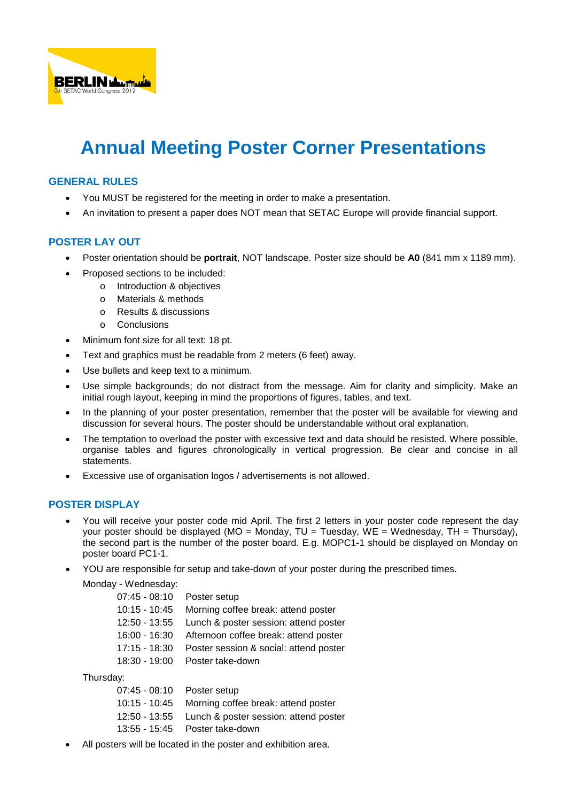

# **Annual Meeting Poster Corner Presentations**

## **GENERAL RULES**

- You MUST be registered for the meeting in order to make a presentation.
- An invitation to present a paper does NOT mean that SETAC Europe will provide financial support.

# **POSTER LAY OUT**

- Poster orientation should be **portrait**, NOT landscape. Poster size should be **A0** (841 mm x 1189 mm).
- Proposed sections to be included:
	- o Introduction & objectives
	- o Materials & methods
	- o Results & discussions
	- o Conclusions
- Minimum font size for all text: 18 pt.
- Text and graphics must be readable from 2 meters (6 feet) away.
- Use bullets and keep text to a minimum.
- Use simple backgrounds; do not distract from the message. Aim for clarity and simplicity. Make an initial rough layout, keeping in mind the proportions of figures, tables, and text.
- In the planning of your poster presentation, remember that the poster will be available for viewing and discussion for several hours. The poster should be understandable without oral explanation.
- The temptation to overload the poster with excessive text and data should be resisted. Where possible, organise tables and figures chronologically in vertical progression. Be clear and concise in all statements.
- Excessive use of organisation logos / advertisements is not allowed.

## **POSTER DISPLAY**

- You will receive your poster code mid April. The first 2 letters in your poster code represent the day your poster should be displayed (MO = Monday, TU = Tuesday, WE = Wednesday, TH = Thursday), the second part is the number of the poster board. E.g. MOPC1-1 should be displayed on Monday on poster board PC1-1.
- YOU are responsible for setup and take-down of your poster during the prescribed times.

Monday - Wednesday:

| 07:45 - 08:10 Poster setup |                                                     |
|----------------------------|-----------------------------------------------------|
|                            | 10:15 - 10:45 Morning coffee break: attend poster   |
|                            | 12:50 - 13:55 Lunch & poster session: attend poster |
|                            | 16:00 - 16:30 Afternoon coffee break: attend poster |
| 17:15 - 18:30              | Poster session & social: attend poster              |
|                            | 18:30 - 19:00 Poster take-down                      |

Thursday:

| 07:45 - 08:10    Poster setup |                                                     |
|-------------------------------|-----------------------------------------------------|
|                               | 10:15 - 10:45 Morning coffee break: attend poster   |
|                               | 12:50 - 13:55 Lunch & poster session: attend poster |
|                               | 13:55 - 15:45 Poster take-down                      |
|                               |                                                     |

All posters will be located in the poster and exhibition area.